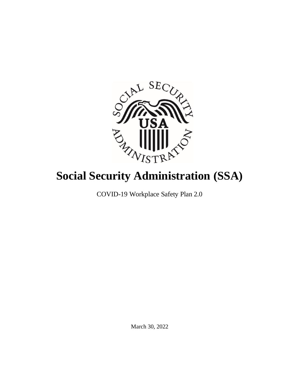

# **Social Security Administration (SSA)**

COVID-19 Workplace Safety Plan 2.0

March 30, 2022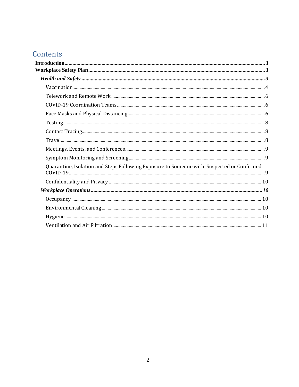# Contents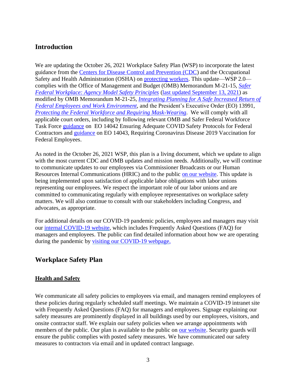# <span id="page-2-0"></span>**Introduction**

We are updating the October 26, 2021 Workplace Safety Plan (WSP) to incorporate the latest guidance from the [Centers for Disease Control and Prevention \(CDC\)](https://www.cdc.gov/coronavirus/2019-ncov/index.html) and the Occupational Safety and Health Administration (OSHA) on [protecting workers.](https://www.osha.gov/coronavirus/safework) This update—WSP 2.0 complies with the Office of Management and Budget (OMB) Memorandum M-21-15*, [Safer](https://www.whitehouse.gov/wp-content/uploads/2021/01/M-21-15.pdf) [Federal Workplace: Agency Model Safety Principles](https://www.whitehouse.gov/wp-content/uploads/2021/01/M-21-15.pdf)* [\(last updated September 13, 2021\)](https://www.saferfederalworkforce.gov/downloads/updates%20to%20model%20safety%20principles%209.13.21.pdf) as modified by OMB Memorandum M-21-25, *[Integrating Planning for A Safe Increased Return of](https://www.whitehouse.gov/wp-content/uploads/2021/06/M-21-25.pdf) [Federal Employees and Work Environment](https://www.whitehouse.gov/wp-content/uploads/2021/06/M-21-25.pdf)*, and [the President's Executive Order \(](https://www.whitehouse.gov/briefing-room/presidential-actions/2021/01/20/executive-order-protecting-the-federal-workforce-and-requiring-mask-wearing/)EO) 13991, *Protecting the Federal Workforce and Requiring [Mask-Wearing](https://www.govinfo.gov/content/pkg/DCPD-202100060/pdf/DCPD-202100060.pdf)*. We will comply with all applicable court orders, including by following relevant OMB and Safer Federal Workforce Task Force [guidance](https://www.saferfederalworkforce.gov/contractors/) on EO 14042 Ensuring Adequate COVID Safety Protocols for Federal Contractors and [guidance](https://www.saferfederalworkforce.gov/downloads/FAQs_compliance_injunction_EO%2014043_20220124.pdf) on EO 14043, Requiring Coronavirus Disease 2019 Vaccination for Federal Employees.

As noted in the October 26, 2021 WSP, this plan is a living document, which we update to align with the most current CDC and OMB updates and mission needs. Additionally, we will continue to communicate updates to our employees via Commissioner Broadcasts or our Human Resources Internal Communications (HRIC) and to the public [on our website.](https://www.ssa.gov/coronavirus/) This update is being implemented upon satisfaction of applicable labor obligations with labor unions representing our employees. We respect the important role of our labor unions and are committed to communicating regularly with employee representatives on workplace safety matters. We will also continue to consult with our stakeholders including Congress, and advocates, as appropriate.

For additional details on our COVID-19 pandemic policies, employees and managers may visit our [internal COVID-19 website, which includes Frequently Asked Questions \(FAQ\) for](http://personnel.ba.ssa.gov/ope/medical/default.htm) [managers and employees.](http://personnel.ba.ssa.gov/ope/medical/default.htm) The public can find detailed information about how we are operating during the pandemic by visiting our [COVID-19 webpage.](https://www.ssa.gov/coronavirus)

# <span id="page-2-1"></span>**Workplace Safety Plan**

# <span id="page-2-2"></span>**Health and Safety**

We communicate all safety policies to employees via email, and managers remind employees of these policies during regularly scheduled staff meetings. We maintain a COVID-19 intranet site with Frequently Asked Questions (FAQ) for managers and employees. Signage explaining our safety measures are prominently displayed in all buildings used by our employees, visitors, and onsite contractor staff. We explain our safety policies when we arrange appointments with members of the public. Our plan is available to the public on [our website.](https://www.ssa.gov/open/plans/) Security guards will ensure the public complies with posted safety measures. We have communicated our safety measures to contractors via email and in updated contract language.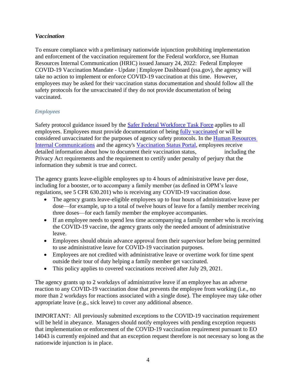# <span id="page-3-0"></span>*Vaccination*

To ensure compliance with a preliminary nationwide injunction prohibiting implementation and enforcement of the vaccination requirement for the Federal workforce, see Human Resources Internal Communication (HRIC) issued January 24, 2022: [Federal Employee](https://eis.ba.ssa.gov/dashboard/news/hr-internal-communications/2022-01-24_post_1.html)  COVID-19 Vaccination Mandate - [Update | Employee Dashboard \(ssa.gov\),](https://eis.ba.ssa.gov/dashboard/news/hr-internal-communications/2022-01-24_post_1.html) the agency will take no action to implement or enforce COVID-19 vaccination at this time. However, employees may be asked for their vaccination status documentation and should follow all the safety protocols for the unvaccinated if they do not provide documentation of being vaccinated.

# *Employees*

Safety protocol guidance issued by the Safer Federal [Workforce](https://www.saferfederalworkforce.gov/faq/vaccinations/) Task Force applies to all employees. Employees must provide documentation of being [fully vaccinated](https://www.cdc.gov/coronavirus/2019-ncov/vaccines/fully-vaccinated.html) or will be considered unvaccinated for the purposes of agency safety protocols. In the Human [Resources](https://eis.ba.ssa.gov/dashboard/news/hr-internal-communications/2021-09-27_post_1.html) Internal [Communications](https://eis.ba.ssa.gov/dashboard/news/hr-internal-communications/2021-09-27_post_1.html) and the agency's [Vaccination Status Portal,](https://ssaprod.servicenowservices.com/vaxx?id=vaxx_index) employees receive detailed information about how to document their vaccination status, including the Privacy Act requirements and the requirement to certify under penalty of perjury that the information they submit is true and correct.

The agency grants leave-eligible employees up to 4 hours of administrative leave per dose, including for a booster, or to accompany a family member (as defined in OPM's leave regulations, see 5 CFR 630.201) who is receiving any COVID-19 vaccination dose.

- The agency grants leave-eligible employees up to four hours of administrative leave per dose—for example, up to a total of twelve hours of leave for a family member receiving three doses—for each family member the employee accompanies.
- If an employee needs to spend less time accompanying a family member who is receiving the COVID-19 vaccine, the agency grants only the needed amount of administrative leave.
- Employees should obtain advance approval from their supervisor before being permitted to use administrative leave for COVID-19 vaccination purposes.
- Employees are not credited with administrative leave or overtime work for time spent outside their tour of duty helping a family member get vaccinated.
- This policy applies to covered vaccinations received after July 29, 2021.

The agency grants up to 2 workdays of administrative leave if an employee has an adverse reaction to any COVID-19 vaccination dose that prevents the employee from working (i.e., no more than 2 workdays for reactions associated with a single dose). The employee may take other appropriate leave (e.g., sick leave) to cover any additional absence.

IMPORTANT: All previously submitted exceptions to the COVID-19 vaccination requirement will be held in abeyance. Managers should notify employees with pending exception requests that implementation or enforcement of the COVID-19 vaccination requirement pursuant to EO 14043 is currently enjoined and that an exception request therefore is not necessary so long as the nationwide injunction is in place.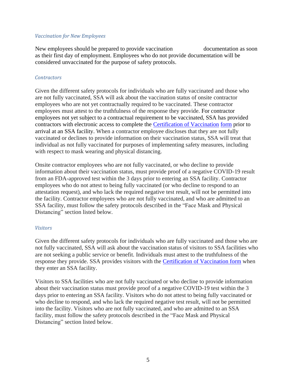#### *Vaccination for New Employees*

New employees should be prepared to provide vaccination documentation as soon as their first day of employment. Employees who do not provide documentation will be considered unvaccinated for the purpose of safety protocols.

#### *Contractors*

Given the different safety protocols for individuals who are fully vaccinated and those who are not fully vaccinated, SSA will ask about the vaccination status of onsite contractor employees who are not yet contractually required to be vaccinated. These contractor employees must attest to the truthfulness of the response they provide. For contractor employees not yet subject to a contractual requirement to be vaccinated, SSA has provided contractors with electronic access to complete the [Certification of Vaccination](https://www.saferfederalworkforce.gov/downloads/CertificationVaccinationPRAv7.pdf) [form](https://www.saferfederalworkforce.gov/downloads/CertificationVaccinationPRAv7.pdf) prior to arrival at an SSA facility. When a contractor employee discloses that they are not fully vaccinated or declines to provide information on their vaccination status, SSA will treat that individual as not fully vaccinated for purposes of implementing safety measures, including with respect to mask wearing and physical distancing.

Onsite contractor employees who are not fully vaccinated, or who decline to provide information about their vaccination status, must provide proof of a negative COVID-19 result from an FDA-approved test within the 3 days prior to entering an SSA facility. Contractor employees who do not attest to being fully vaccinated (or who decline to respond to an attestation request), and who lack the required negative test result, will not be permitted into the facility. Contractor employees who are not fully vaccinated, and who are admitted to an SSA facility, must follow the safety protocols described in the "Face Mask and Physical Distancing" section listed below.

#### *Visitors*

Given the different safety protocols for individuals who are fully vaccinated and those who are not fully vaccinated, SSA will ask about the vaccination status of visitors to SSA facilities who are not seeking a public service or benefit. Individuals must attest to the truthfulness of the response they provide. SSA provides visitors with the [Certification of Vaccination form](https://www.saferfederalworkforce.gov/downloads/CertificationVaccinationPRAv7.pdf) when they enter an SSA facility.

Visitors to SSA facilities who are not fully vaccinated or who decline to provide information about their vaccination status must provide proof of a negative COVID-19 test within the 3 days prior to entering an SSA facility. Visitors who do not attest to being fully vaccinated or who decline to respond, and who lack the required negative test result, will not be permitted into the facility. Visitors who are not fully vaccinated, and who are admitted to an SSA facility, must follow the safety protocols described in the "Face Mask and Physical Distancing" section listed below.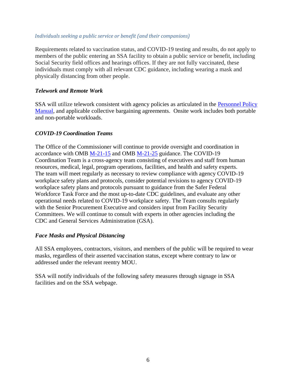#### *Individuals seeking a public service or benefit (and their companions)*

Requirements related to vaccination status, and COVID-19 testing and results, do not apply to members of the public entering an SSA facility to obtain a public service or benefit, including Social Security field offices and hearings offices. If they are not fully vaccinated, these individuals must comply with all relevant CDC guidance, including wearing a mask and physically distancing from other people.

#### <span id="page-5-0"></span>*Telework and Remote Work*

SSA will utilize telework consistent with agency policies as articulated in the **Personnel Policy** [Manual,](http://personnel.ba.ssa.gov/ope/pmisps/virtuallib/S650_1.html) and applicable collective bargaining agreements. Onsite work includes both portable and non-portable workloads.

#### <span id="page-5-1"></span>*COVID-19 Coordination Teams*

The Office of the Commissioner will continue to provide oversight and coordination in accordance with OMB [M-21-15](https://www.whitehouse.gov/wp-content/uploads/2021/01/M-21-15.pdf) and OMB [M-21-25](https://www.whitehouse.gov/wp-content/uploads/2021/06/M-21-25.pdf) guidance. The COVID-19 Coordination Team is a cross-agency team consisting of executives and staff from human resources, medical, legal, program operations, facilities, and health and safety experts. The team will meet regularly as necessary to review compliance with agency COVID-19 workplace safety plans and protocols, consider potential revisions to agency COVID-19 workplace safety plans and protocols pursuant to guidance from the Safer Federal Workforce Task Force and the most up-to-date CDC guidelines, and evaluate any other operational needs related to COVID-19 workplace safety. The Team consults regularly with the Senior Procurement Executive and considers input from Facility Security Committees. We will continue to consult with experts in other agencies including the CDC and General Services Administration (GSA).

#### <span id="page-5-2"></span>*Face Masks and Physical Distancing*

All SSA employees, contractors, visitors, and members of the public will be required to wear masks, regardless of their asserted vaccination status, except where contrary to law or addressed under the relevant reentry MOU.

SSA will notify individuals of the following safety measures through signage in SSA facilities and on the SSA webpage.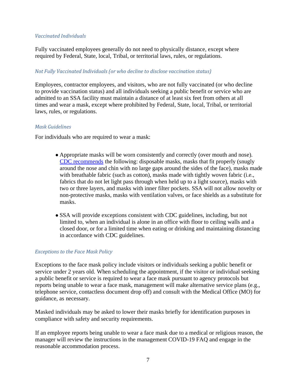#### *Vaccinated Individuals*

Fully vaccinated employees generally do not need to physically distance, except where required by Federal, State, local, Tribal, or territorial laws, rules, or regulations.

#### *Not Fully Vaccinated Individuals (or who decline to disclose vaccination status)*

Employees, contractor employees, and visitors, who are not fully vaccinated (or who decline to provide vaccination status) and all individuals seeking a public benefit or service who are admitted to an SSA facility must maintain a distance of at least six feet from others at all times and wear a mask, except where prohibited by Federal, State, local, Tribal, or territorial laws, rules, or regulations.

#### *Mask Guidelines*

For individuals who are required to wear a mask:

- Appropriate masks will be worn consistently and correctly (over mouth and nose). [CDC recommends](https://www.cdc.gov/coronavirus/2019-ncov/prevent-getting-sick/about-face-coverings.html) the following: disposable masks, masks that fit properly (snugly around the nose and chin with no large gaps around the sides of the face), masks made with breathable fabric (such as cotton), masks made with tightly woven fabric (i.e., fabrics that do not let light pass through when held up to a light source), masks with two or three layers, and masks with inner filter pockets. SSA will not allow novelty or non-protective masks, masks with ventilation valves, or face shields as a substitute for masks.
- SSA will provide exceptions consistent with CDC guidelines, including, but not limited to, when an individual is alone in an office with floor to ceiling walls and a closed door, or for a limited time when eating or drinking and maintaining distancing in accordance with CDC guidelines.

#### *Exceptions to the Face Mask Policy*

Exceptions to the face mask policy include visitors or individuals seeking a public benefit or service under 2 years old. When scheduling the appointment, if the visitor or individual seeking a public benefit or service is required to wear a face mask pursuant to agency protocols but reports being unable to wear a face mask, management will make alternative service plans (e.g., telephone service, contactless document drop off) and consult with the Medical Office (MO) for guidance, as necessary.

Masked individuals may be asked to lower their masks briefly for identification purposes in compliance with safety and security requirements.

If an employee reports being unable to wear a face mask due to a medical or religious reason, the manager will review the instructions in the management COVID-19 FAQ and engage in the reasonable accommodation process.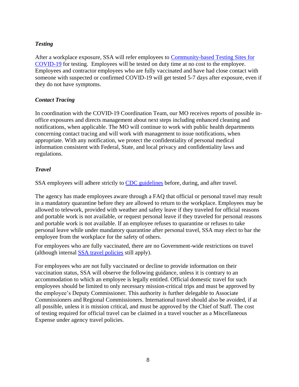# <span id="page-7-0"></span>*Testing*

After a workplace exposure, SSA will refer employees to [Community-based Testing Sites for](https://www.hhs.gov/coronavirus/community-based-testing-sites/index.html) [COVID-19](https://www.hhs.gov/coronavirus/community-based-testing-sites/index.html) for testing. Employees will be tested on duty time at no cost to the employee. Employees and contractor employees who are fully vaccinated and have had close contact with someone with suspected or confirmed COVID-19 will get tested 5-7 days after exposure, even if they do not have symptoms.

# <span id="page-7-1"></span>*Contact Tracing*

In coordination with the COVID-19 Coordination Team, our MO receives reports of possible inoffice exposures and directs management about next steps including enhanced cleaning and notifications, when applicable. The MO will continue to work with public health departments concerning contact tracing and will work with management to issue notifications, when appropriate. With any notification, we protect the confidentiality of personal medical information consistent with Federal, State, and local privacy and confidentiality laws and regulations.

# <span id="page-7-2"></span>*Travel*

SSA employees will adhere strictly to CDC [guidelines](https://www.cdc.gov/coronavirus/2019-ncov/travelers/index.html) before, during, and after travel.

The agency has made employees aware through a FAQ that official or personal travel may result in a mandatory quarantine before they are allowed to return to the workplace. Employees may be allowed to telework, provided with weather and safety leave if they traveled for official reasons and portable work is not available, or request personal leave if they traveled for personal reasons and portable work is not available. If an employee refuses to quarantine or refuses to take personal leave while under mandatory quarantine after personal travel, SSA may elect to bar the employee from the workplace for the safety of others.

For employees who are fully vaccinated, there are no Government-wide restrictions on travel (although internal [SSA travel](https://eis.ba.ssa.gov/ofpo/travel/travel.htm) policies still apply).

For employees who are not fully vaccinated or decline to provide information on their vaccination status, SSA will observe the following guidance, unless it is contrary to an accommodation to which an employee is legally entitled. Official domestic travel for such employees should be limited to only necessary mission-critical trips and must be approved by the employee's Deputy Commissioner. This authority is further delegable to Associate Commissioners and Regional Commissioners. International travel should also be avoided, if at all possible, unless it is mission critical, and must be approved by the Chief of Staff. The cost of testing required for official travel can be claimed in a travel voucher as a Miscellaneous Expense under agency travel policies.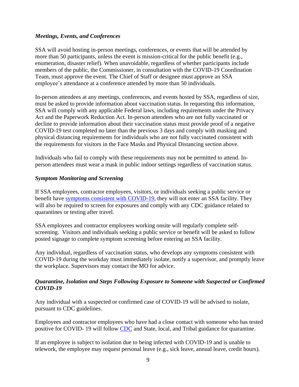#### <span id="page-8-0"></span>*Meetings, Events, and Conferences*

SSA will avoid hosting in-person meetings, conferences, or events that will be attended by more than 50 participants, unless the event is mission-critical for the public benefit (e.g., enumeration, disaster relief). When unavoidable, regardless of whether participants include members of the public, the Commissioner, in consultation with the COVID-19 Coordination Team, must approve the event. The Chief of Staff or designee must approve an SSA employee's attendance at a conference attended by more than 50 individuals.

In-person attendees at any meetings, conferences, and events hosted by SSA, regardless of size, must be asked to provide information about vaccination status. In requesting this information, SSA will comply with any applicable Federal laws, including requirements under the Privacy Act and the Paperwork Reduction Act. In-person attendees who are not fully vaccinated or decline to provide information about their vaccination status must provide proof of a negative COVID-19 test completed no later than the previous 3 days and comply with masking and physical distancing requirements for individuals who are not fully vaccinated consistent with the requirements for visitors in the Face Masks and Physical Distancing section above.

Individuals who fail to comply with these requirements may not be permitted to attend. Inperson attendees must wear a mask in public indoor settings regardless of vaccination status.

#### <span id="page-8-1"></span>*Symptom Monitoring and Screening*

If SSA employees, contractor employees, visitors, or individuals seeking a public service or benefit have [symptoms consistent with COVID-19,](https://www.cdc.gov/coronavirus/2019-ncov/symptoms-testing/symptoms.html) they will not enter an SSA facility. They will also be required to screen for exposures and comply with any CDC guidance related to quarantines or testing after travel.

SSA employees and contractor employees working onsite will regularly complete selfscreening. Visitors and individuals seeking a public service or benefit will be asked to follow posted signage to complete symptom screening before entering an SSA facility.

Any individual, regardless of vaccination status, who develops any symptoms consistent with COVID-19 during the workday must immediately isolate, notify a supervisor, and promptly leave the workplace. Supervisors may contact the MO for advice.

#### <span id="page-8-2"></span>*Quarantine, Isolation and Steps Following Exposure to Someone with Suspected or Confirmed COVID-19*

Any individual with a suspected or confirmed case of COVID-19 will be advised to isolate, pursuant to CDC guidelines.

Employees and contractor employees who have had a close contact with someone who has tested positive for COVID- 19 will follow [CDC](https://www.cdc.gov/coronavirus/2019-ncov/your-health/quarantine-isolation.html) and State, local, and Tribal guidance for quarantine.

If an employee is subject to isolation due to being infected with COVID-19 and is unable to telework, the employee may request personal leave (e.g., sick leave, annual leave, credit hours).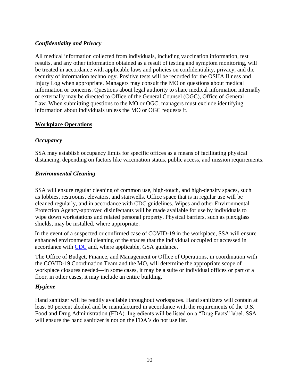# <span id="page-9-0"></span>*Confidentiality and Privacy*

All medical information collected from individuals, including vaccination information, test results, and any other information obtained as a result of testing and symptom monitoring, will be treated in accordance with applicable laws and policies on confidentiality, privacy, and the security of information technology. Positive tests will be recorded for the OSHA Illness and Injury Log when appropriate. Managers may consult the MO on questions about medical information or concerns. Questions about legal authority to share medical information internally or externally may be directed to Office of the General Counsel (OGC), Office of General Law. When submitting questions to the MO or OGC, managers must exclude identifying information about individuals unless the MO or OGC requests it.

#### <span id="page-9-1"></span>**Workplace Operations**

#### <span id="page-9-2"></span>*Occupancy*

SSA may establish occupancy limits for specific offices as a means of facilitating physical distancing, depending on factors like vaccination status, public access, and mission requirements.

# <span id="page-9-3"></span>*Environmental Cleaning*

SSA will ensure regular cleaning of common use, high-touch, and high-density spaces, such as lobbies, restrooms, elevators, and stairwells. Office space that is in regular use will be cleaned regularly, and in accordance with CDC guidelines. Wipes and other Environmental Protection Agency-approved disinfectants will be made available for use by individuals to wipe down workstations and related personal property. Physical barriers, such as plexiglass shields, may be installed, where appropriate.

In the event of a suspected or confirmed case of COVID-19 in the workplace, SSA will ensure enhanced environmental cleaning of the spaces that the individual occupied or accessed in accordance with [CDC](https://www.cdc.gov/coronavirus/2019-ncov/community/disinfecting-building-facility.html) and, where applicable, GSA guidance.

The Office of Budget, Finance, and Management or Office of Operations, in coordination with the COVID-19 Coordination Team and the MO, will determine the appropriate scope of workplace closures needed—in some cases, it may be a suite or individual offices or part of a floor, in other cases, it may include an entire building.

# <span id="page-9-4"></span>*Hygiene*

Hand sanitizer will be readily available throughout workspaces. Hand sanitizers will contain at least 60 percent alcohol and be manufactured in accordance with the requirements of the U.S. Food and Drug Administration (FDA). Ingredients will be listed on a "Drug Facts" label. SSA will ensure the hand sanitizer is not on the FDA's do not use list.